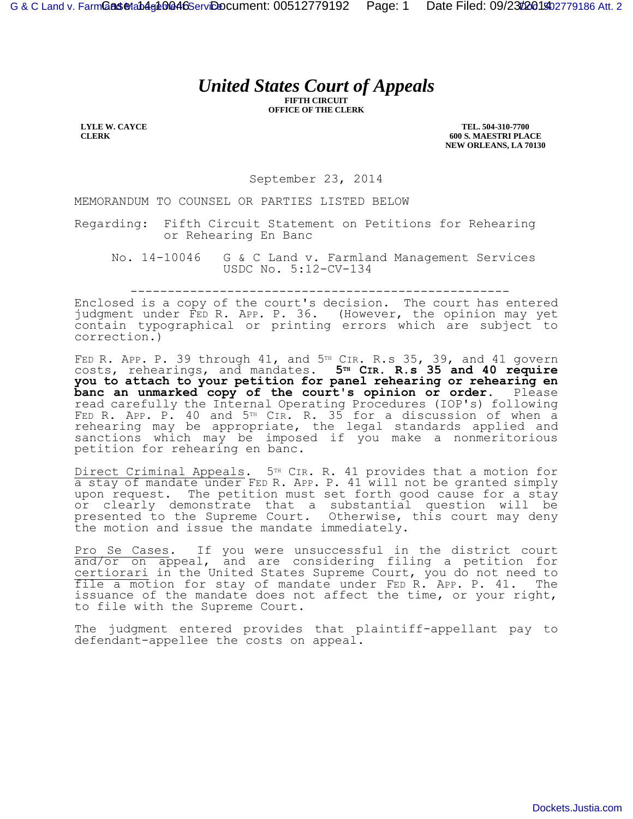## *United States Court of Appeals*

**FIFTH CIRCUIT OFFICE OF THE CLERK**

**LYLE W. CAYCE CLERK**

**TEL. 504-310-7700 600 S. MAESTRI PLACE NEW ORLEANS, LA 70130**

September 23, 2014

MEMORANDUM TO COUNSEL OR PARTIES LISTED BELOW

Regarding: Fifth Circuit Statement on Petitions for Rehearing or Rehearing En Banc

No. 14-10046 G & C Land v. Farmland Management Services USDC No. 5:12-CV-134

---------------------------------------------------

Enclosed is a copy of the court's decision. The court has entered judgment under FED R. APP. P. 36. (However, the opinion may yet contain typographical or printing errors which are subject to correction.)

FED R. APP. P. 39 through  $41$ , and  $5<sup>TH</sup>$  CIR. R.s 35, 39, and  $41$  govern costs, rehearings, and mandates. **5TH CIR. R.s 35 and 40 require you to attach to your petition for panel rehearing or rehearing en banc an unmarked copy of the court's opinion or order.** Please read carefully the Internal Operating Procedures (IOP's) following FED R. APP. P. 40 and 5<sup>TH</sup> CIR. R. 35 for a discussion of when a rehearing may be appropriate, the legal standards applied and sanctions which may be imposed if you make a nonmeritorious petition for rehearing en banc.

Direct Criminal Appeals. 5<sup>TH</sup> CIR. R. 41 provides that a motion for a stay of mandate under FED R. APP. P. 41 will not be granted simply upon request. The petition must set forth good cause for a stay or clearly demonstrate that a substantial question will be presented to the Supreme Court. Otherwise, this court may deny the motion and issue the mandate immediately.

Pro Se Cases. If you were unsuccessful in the district court and/or on appeal, and are considering filing a petition for certiorari in the United States Supreme Court, you do not need to file a motion for stay of mandate under FED R. APP. P. 41. The issuance of the mandate does not affect the time, or your right, to file with the Supreme Court.

The judgment entered provides that plaintiff-appellant pay to defendant-appellee the costs on appeal.